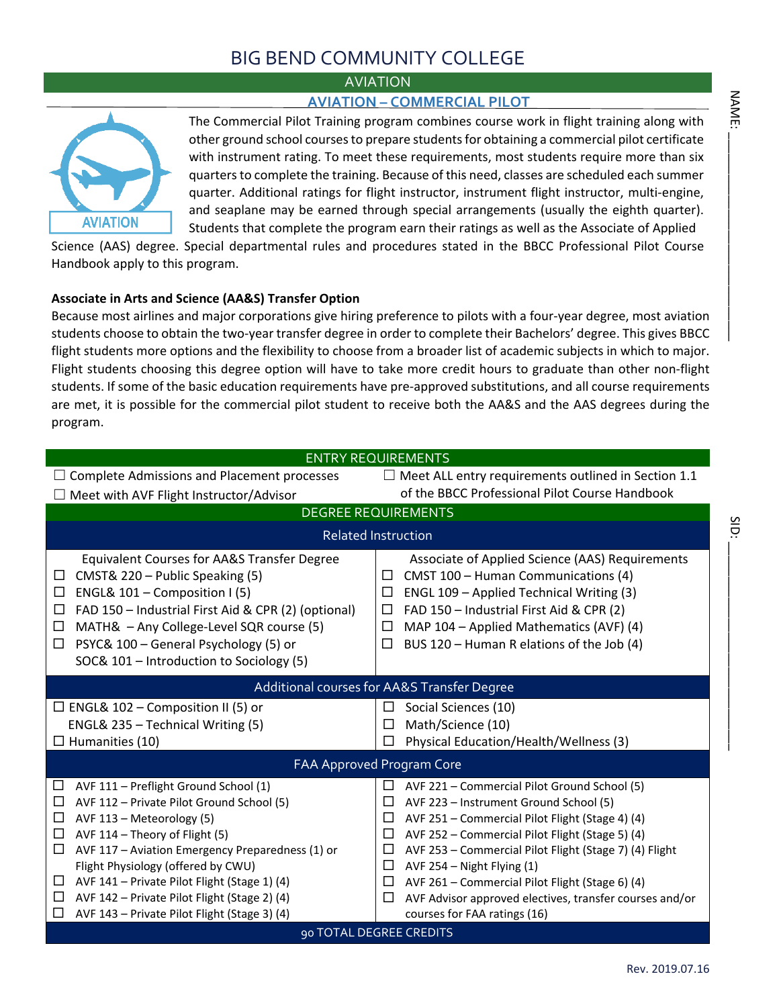### BIG BEND COMMUNITY COLLEGE

### AVIATION

### **AVIATION – COMMERCIAL PILOT**



The Commercial Pilot Training program combines course work in flight training along with other ground school courses to prepare students for obtaining a commercial pilot certificate with instrument rating. To meet these requirements, most students require more than six quarters to complete the training. Because of this need, classes are scheduled each summer quarter. Additional ratings for flight instructor, instrument flight instructor, multi-engine, and seaplane may be earned through special arrangements (usually the eighth quarter). Students that complete the program earn their ratings as well as the Associate of Applied

Science (AAS) degree. Special departmental rules and procedures stated in the BBCC Professional Pilot Course Handbook apply to this program.

### **Associate in Arts and Science (AA&S) Transfer Option**

Because most airlines and major corporations give hiring preference to pilots with a four-year degree, most aviation students choose to obtain the two-year transfer degree in order to complete their Bachelors' degree. This gives BBCC flight students more options and the flexibility to choose from a broader list of academic subjects in which to major. Flight students choosing this degree option will have to take more credit hours to graduate than other non-flight students. If some of the basic education requirements have pre-approved substitutions, and all course requirements are met, it is possible for the commercial pilot student to receive both the AA&S and the AAS degrees during the program.

|                                                                                                                                                                                                                                                                                                                                                                                                                                                    | <b>ENTRY REQUIREMENTS</b>                                                                                                                                                                                                                                                                                                                                                                                                                                                                 |
|----------------------------------------------------------------------------------------------------------------------------------------------------------------------------------------------------------------------------------------------------------------------------------------------------------------------------------------------------------------------------------------------------------------------------------------------------|-------------------------------------------------------------------------------------------------------------------------------------------------------------------------------------------------------------------------------------------------------------------------------------------------------------------------------------------------------------------------------------------------------------------------------------------------------------------------------------------|
| $\Box$ Complete Admissions and Placement processes                                                                                                                                                                                                                                                                                                                                                                                                 | $\Box$ Meet ALL entry requirements outlined in Section 1.1                                                                                                                                                                                                                                                                                                                                                                                                                                |
| $\Box$ Meet with AVF Flight Instructor/Advisor                                                                                                                                                                                                                                                                                                                                                                                                     | of the BBCC Professional Pilot Course Handbook                                                                                                                                                                                                                                                                                                                                                                                                                                            |
|                                                                                                                                                                                                                                                                                                                                                                                                                                                    | <b>DEGREE REQUIREMENTS</b>                                                                                                                                                                                                                                                                                                                                                                                                                                                                |
|                                                                                                                                                                                                                                                                                                                                                                                                                                                    | <b>Related Instruction</b>                                                                                                                                                                                                                                                                                                                                                                                                                                                                |
| <b>Equivalent Courses for AA&amp;S Transfer Degree</b><br>CMST& 220 - Public Speaking (5)<br>ENGL& 101 - Composition I (5)<br>□<br>FAD 150 - Industrial First Aid & CPR (2) (optional)<br>□<br>MATH& - Any College-Level SQR course (5)<br>□<br>PSYC& 100 - General Psychology (5) or<br>□<br>SOC& 101 - Introduction to Sociology (5)                                                                                                             | Associate of Applied Science (AAS) Requirements<br>CMST 100 - Human Communications (4)<br>□<br>ENGL 109 - Applied Technical Writing (3)<br>$\Box$<br>FAD 150 - Industrial First Aid & CPR (2)<br>□<br>MAP 104 - Applied Mathematics (AVF) (4)<br>$\Box$<br>BUS 120 - Human R elations of the Job (4)<br>□                                                                                                                                                                                 |
|                                                                                                                                                                                                                                                                                                                                                                                                                                                    | Additional courses for AA&S Transfer Degree                                                                                                                                                                                                                                                                                                                                                                                                                                               |
| $\Box$ ENGL& 102 – Composition II (5) or<br>ENGL& 235 - Technical Writing (5)<br>$\Box$ Humanities (10)                                                                                                                                                                                                                                                                                                                                            | Social Sciences (10)<br>$\Box$<br>Math/Science (10)<br>□<br>Physical Education/Health/Wellness (3)<br>ш                                                                                                                                                                                                                                                                                                                                                                                   |
|                                                                                                                                                                                                                                                                                                                                                                                                                                                    | FAA Approved Program Core                                                                                                                                                                                                                                                                                                                                                                                                                                                                 |
| □<br>AVF 111 - Preflight Ground School (1)<br>□<br>AVF 112 - Private Pilot Ground School (5)<br>AVF 113 - Meteorology (5)<br>$\Box$<br>AVF 114 - Theory of Flight (5)<br>□<br>AVF 117 - Aviation Emergency Preparedness (1) or<br>□<br>Flight Physiology (offered by CWU)<br>AVF 141 - Private Pilot Flight (Stage 1) (4)<br>$\Box$<br>AVF 142 - Private Pilot Flight (Stage 2) (4)<br>$\Box$<br>□<br>AVF 143 - Private Pilot Flight (Stage 3) (4) | AVF 221 - Commercial Pilot Ground School (5)<br>$\Box$<br>□<br>AVF 223 - Instrument Ground School (5)<br>AVF 251 - Commercial Pilot Flight (Stage 4) (4)<br>$\Box$<br>$\Box$<br>AVF 252 - Commercial Pilot Flight (Stage 5) (4)<br>AVF 253 - Commercial Pilot Flight (Stage 7) (4) Flight<br>□<br>□<br>AVF 254 - Night Flying (1)<br>AVF 261 - Commercial Pilot Flight (Stage 6) (4)<br>□<br>□<br>AVF Advisor approved electives, transfer courses and/or<br>courses for FAA ratings (16) |
|                                                                                                                                                                                                                                                                                                                                                                                                                                                    | 90 TOTAL DEGREE CREDITS                                                                                                                                                                                                                                                                                                                                                                                                                                                                   |

SID: \_\_\_\_\_\_\_\_\_\_\_\_\_\_\_\_\_\_\_\_\_\_\_\_\_\_\_\_\_\_

SiD: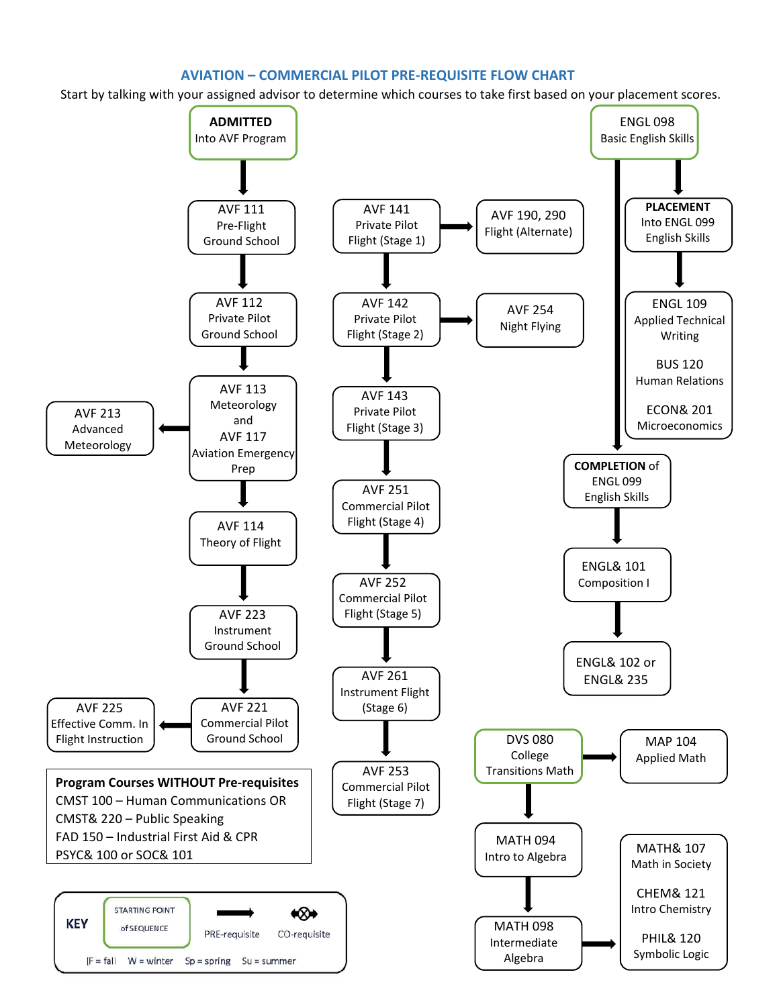### **AVIATION – COMMERCIAL PILOT PRE-REQUISITE FLOW CHART**

Start by talking with your assigned advisor to determine which courses to take first based on your placement scores.

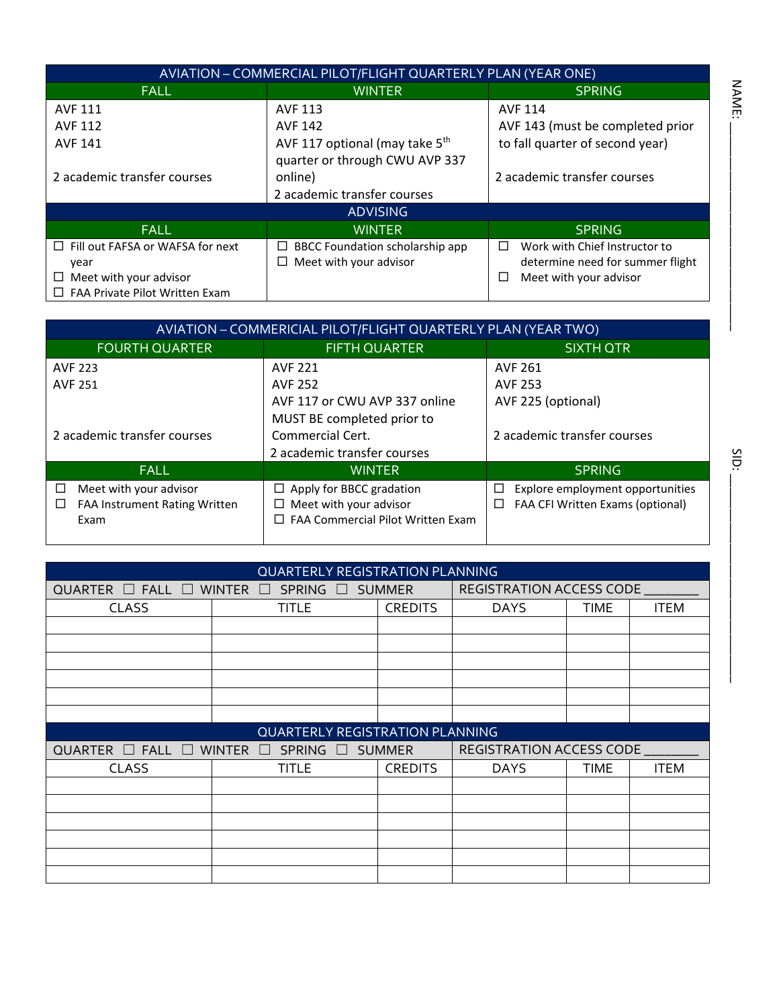|                                         | AVIATION - COMMERCIAL PILOT/FLIGHT QUARTERLY PLAN (YEAR ONE) |                                    |
|-----------------------------------------|--------------------------------------------------------------|------------------------------------|
| <b>FALL</b>                             | <b>WINTER</b>                                                | <b>SPRING</b>                      |
| <b>AVF 111</b>                          | <b>AVF 113</b>                                               | <b>AVF 114</b>                     |
| AVF 112                                 | <b>AVF 142</b>                                               | AVF 143 (must be completed prior   |
| <b>AVF 141</b>                          | AVF 117 optional (may take 5 <sup>th</sup>                   | to fall quarter of second year)    |
|                                         | quarter or through CWU AVP 337                               |                                    |
| 2 academic transfer courses             | online)                                                      | 2 academic transfer courses        |
|                                         | 2 academic transfer courses                                  |                                    |
|                                         | <b>ADVISING</b>                                              |                                    |
| <b>FALL</b>                             | <b>WINTER</b>                                                | <b>SPRING</b>                      |
| $\Box$ Fill out FAFSA or WAFSA for next | $\Box$ BBCC Foundation scholarship app                       | Work with Chief Instructor to<br>П |
| year                                    | $\Box$ Meet with your advisor                                | determine need for summer flight   |
| Meet with your advisor                  |                                                              | Meet with your advisor<br>ப        |
| FAA Private Pilot Written Exam          |                                                              |                                    |

|                                                                                       | AVIATION - COMMERICIAL PILOT/FLIGHT QUARTERLY PLAN (YEAR TWO)                                              |                                                                                            |
|---------------------------------------------------------------------------------------|------------------------------------------------------------------------------------------------------------|--------------------------------------------------------------------------------------------|
| <b>FOURTH QUARTER</b>                                                                 | <b>FIFTH QUARTER</b>                                                                                       | SIXTH OTR                                                                                  |
| <b>AVF 223</b>                                                                        | <b>AVF 221</b>                                                                                             | <b>AVF 261</b>                                                                             |
| <b>AVF 251</b>                                                                        | <b>AVF 252</b>                                                                                             | <b>AVF 253</b>                                                                             |
|                                                                                       | AVF 117 or CWU AVP 337 online                                                                              | AVF 225 (optional)                                                                         |
|                                                                                       | MUST BE completed prior to                                                                                 |                                                                                            |
| 2 academic transfer courses                                                           | Commercial Cert.                                                                                           | 2 academic transfer courses                                                                |
|                                                                                       | 2 academic transfer courses                                                                                |                                                                                            |
| <b>FALL</b>                                                                           | <b>WINTER</b>                                                                                              | <b>SPRING</b>                                                                              |
| Meet with your advisor<br>$\Box$<br><b>FAA Instrument Rating Written</b><br>ப<br>Exam | $\Box$ Apply for BBCC gradation<br>Meet with your advisor<br>ப<br>$\Box$ FAA Commercial Pilot Written Exam | Explore employment opportunities<br>$\Box$<br><b>FAA CFI Written Exams (optional)</b><br>⊔ |

|                                   | <b>QUARTERLY REGISTRATION PLANNING</b> |                |                                 |      |             |
|-----------------------------------|----------------------------------------|----------------|---------------------------------|------|-------------|
| QUARTER $\Box$ FALL $\Box$ WINTER | SPRING □ SUMMER<br>8 E F               |                | REGISTRATION ACCESS CODE        |      |             |
| <b>CLASS</b>                      | TITLE                                  | <b>CREDITS</b> | <b>DAYS</b>                     | TIME | <b>ITEM</b> |
|                                   |                                        |                |                                 |      |             |
|                                   |                                        |                |                                 |      |             |
|                                   |                                        |                |                                 |      |             |
|                                   |                                        |                |                                 |      |             |
|                                   |                                        |                |                                 |      |             |
|                                   |                                        |                |                                 |      |             |
|                                   | <b>QUARTERLY REGISTRATION PLANNING</b> |                |                                 |      |             |
|                                   |                                        |                |                                 |      |             |
| QUARTER $\Box$ FALL $\Box$ WINTER | SPRING □ SUMMER<br>a katika            |                | <b>REGISTRATION ACCESS CODE</b> |      |             |
| <b>CLASS</b>                      | <b>TITLE</b>                           | <b>CREDITS</b> | <b>DAYS</b>                     | TIME | <b>ITEM</b> |
|                                   |                                        |                |                                 |      |             |
|                                   |                                        |                |                                 |      |             |
|                                   |                                        |                |                                 |      |             |
|                                   |                                        |                |                                 |      |             |
|                                   |                                        |                |                                 |      |             |

SID: SID: \_\_\_\_\_\_\_\_\_\_\_\_\_\_\_\_\_\_\_\_\_\_\_\_\_\_\_\_\_\_

NAME: \_\_\_\_\_\_\_\_\_\_\_\_\_\_\_\_\_\_\_\_\_\_\_\_\_\_\_\_\_\_

NAME: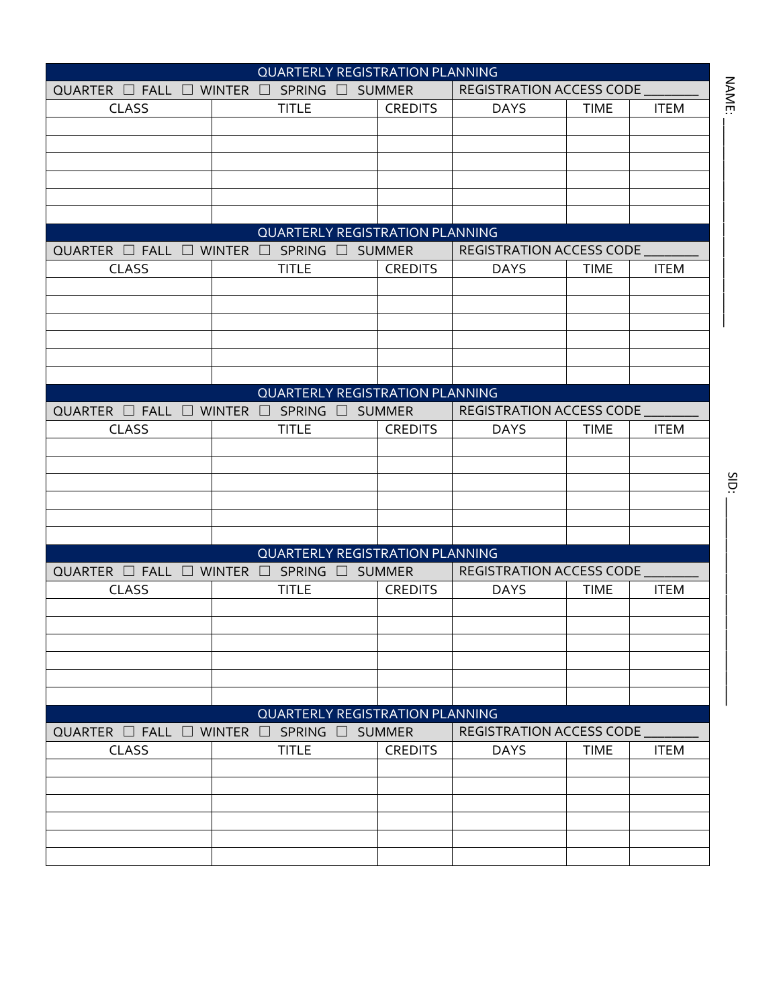|                                                               | <b>QUARTERLY REGISTRATION PLANNING</b> |                |                                 |             |             |
|---------------------------------------------------------------|----------------------------------------|----------------|---------------------------------|-------------|-------------|
| QUARTER $\Box$ FALL $\Box$ WINTER                             | $\Box$ SPRING $\Box$ SUMMER            |                | REGISTRATION ACCESS CODE        |             |             |
| <b>CLASS</b>                                                  | <b>TITLE</b>                           | <b>CREDITS</b> | <b>DAYS</b>                     | <b>TIME</b> | <b>ITEM</b> |
|                                                               |                                        |                |                                 |             |             |
|                                                               |                                        |                |                                 |             |             |
|                                                               |                                        |                |                                 |             |             |
|                                                               |                                        |                |                                 |             |             |
|                                                               |                                        |                |                                 |             |             |
|                                                               |                                        |                |                                 |             |             |
|                                                               | <b>QUARTERLY REGISTRATION PLANNING</b> |                |                                 |             |             |
| QUARTER $\Box$ FALL $\Box$ WINTER                             | $\Box$ SPRING $\Box$                   | <b>SUMMER</b>  | REGISTRATION ACCESS CODE        |             |             |
| <b>CLASS</b>                                                  | <b>TITLE</b>                           | <b>CREDITS</b> | <b>DAYS</b>                     | <b>TIME</b> | <b>ITEM</b> |
|                                                               |                                        |                |                                 |             |             |
|                                                               |                                        |                |                                 |             |             |
|                                                               |                                        |                |                                 |             |             |
|                                                               |                                        |                |                                 |             |             |
|                                                               |                                        |                |                                 |             |             |
|                                                               |                                        |                |                                 |             |             |
|                                                               | <b>QUARTERLY REGISTRATION PLANNING</b> |                |                                 |             |             |
| QUARTER $\Box$ FALL $\Box$ WINTER                             | $\square$ SPRING $\square$             | <b>SUMMER</b>  | <b>REGISTRATION ACCESS CODE</b> |             |             |
| <b>CLASS</b>                                                  | <b>TITLE</b>                           | <b>CREDITS</b> | <b>DAYS</b>                     | <b>TIME</b> | <b>ITEM</b> |
|                                                               |                                        |                |                                 |             |             |
|                                                               |                                        |                |                                 |             |             |
|                                                               |                                        |                |                                 |             |             |
|                                                               |                                        |                |                                 |             |             |
|                                                               |                                        |                |                                 |             |             |
|                                                               | <b>QUARTERLY REGISTRATION PLANNING</b> |                |                                 |             |             |
| QUARTER $\Box$ FALL $\Box$ WINTER                             | $\square$ SPRING $\square$             | <b>SUMMER</b>  | REGISTRATION ACCESS CODE        |             |             |
| <b>CLASS</b>                                                  | <b>TITLE</b>                           | <b>CREDITS</b> | <b>DAYS</b>                     | <b>TIME</b> | <b>ITEM</b> |
|                                                               |                                        |                |                                 |             |             |
|                                                               |                                        |                |                                 |             |             |
|                                                               |                                        |                |                                 |             |             |
|                                                               |                                        |                |                                 |             |             |
|                                                               |                                        |                |                                 |             |             |
|                                                               |                                        |                |                                 |             |             |
|                                                               | <b>QUARTERLY REGISTRATION PLANNING</b> |                |                                 |             |             |
| QUARTER $\Box$ Fall $\Box$ Winter $\Box$ Spring $\Box$ Summer |                                        |                | REGISTRATION ACCESS CODE        |             |             |
| CLASS                                                         | <b>TITLE</b>                           | <b>CREDITS</b> | <b>DAYS</b>                     | <b>TIME</b> | <b>ITEM</b> |
|                                                               |                                        |                |                                 |             |             |
|                                                               |                                        |                |                                 |             |             |
|                                                               |                                        |                |                                 |             |             |
|                                                               |                                        |                |                                 |             |             |
|                                                               |                                        |                |                                 |             |             |
|                                                               |                                        |                |                                 |             |             |

NAME: \_\_\_\_\_\_\_\_\_\_\_\_\_\_\_\_\_\_\_\_\_\_\_\_\_\_\_\_\_\_

NAME: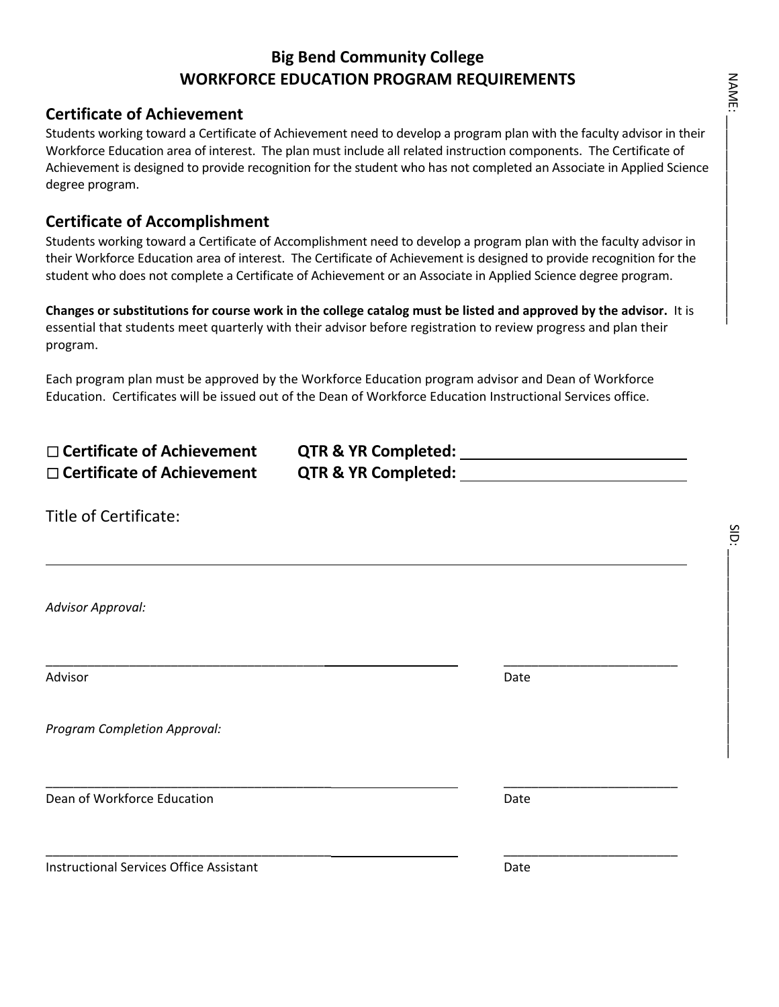### **Big Bend Community College WORKFORCE EDUCATION PROGRAM REQUIREMENTS**

### **Certificate of Achievement**

Students working toward a Certificate of Achievement need to develop a program plan with the faculty advisor in their Workforce Education area of interest. The plan must include all related instruction components. The Certificate of Achievement is designed to provide recognition for the student who has not completed an Associate in Applied Science degree program.

### **Certificate of Accomplishment**

Students working toward a Certificate of Accomplishment need to develop a program plan with the faculty advisor in their Workforce Education area of interest. The Certificate of Achievement is designed to provide recognition for the student who does not complete a Certificate of Achievement or an Associate in Applied Science degree program.

**Changes or substitutions for course work in the college catalog must be listed and approved by the advisor.** It is essential that students meet quarterly with their advisor before registration to review progress and plan their program.

Each program plan must be approved by the Workforce Education program advisor and Dean of Workforce Education. Certificates will be issued out of the Dean of Workforce Education Instructional Services office.

| $\Box$ Certificate of Achievement | <b>QTR &amp; YR Completed:</b> |
|-----------------------------------|--------------------------------|
| $\Box$ Certificate of Achievement | <b>QTR &amp; YR Completed:</b> |

\_\_\_\_\_\_\_\_\_\_\_\_\_\_\_\_\_\_\_\_\_\_\_\_\_\_\_\_\_\_\_\_\_\_\_\_\_\_\_\_\_ \_\_\_\_\_\_\_\_\_\_\_\_\_\_\_\_\_\_\_\_\_\_\_\_\_

| Title of Certificate: |  |  |  |
|-----------------------|--|--|--|
|-----------------------|--|--|--|

*Advisor Approval:*

Advisor **Date** 

L

*Program Completion Approval:*

**Dean of Workforce Education** Date **Date Communist Communist Communist Communist Communist Communist Communist Communist Communist Communist Communist Communist Communist Communist Communist Communist Communist Communist C** 

**Instructional Services Office Assistant Community Control Control Cate** 

\_\_\_\_\_\_\_\_\_\_\_\_\_\_\_\_\_\_\_\_\_\_\_\_\_\_\_\_\_\_\_\_\_\_\_\_\_\_\_\_ \_\_\_\_\_\_\_\_\_\_\_\_\_\_\_\_\_\_\_\_\_\_\_\_\_

\_\_\_\_\_\_\_\_\_\_\_\_\_\_\_\_\_\_\_\_\_\_\_\_\_\_\_\_\_\_\_\_\_\_\_\_\_\_\_\_\_ \_\_\_\_\_\_\_\_\_\_\_\_\_\_\_\_\_\_\_\_\_\_\_\_\_

SiD. SID:<br>Sidis